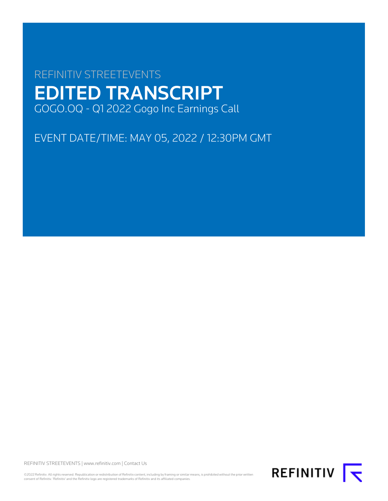# REFINITIV STREETEVENTS EDITED TRANSCRIPT GOGO.OQ - Q1 2022 Gogo Inc Earnings Call

EVENT DATE/TIME: MAY 05, 2022 / 12:30PM GMT

REFINITIV STREETEVENTS | [www.refinitiv.com](https://www.refinitiv.com/) | [Contact Us](https://www.refinitiv.com/en/contact-us)

©2022 Refinitiv. All rights reserved. Republication or redistribution of Refinitiv content, including by framing or similar means, is prohibited without the prior written<br>consent of Refinitiv. 'Refinitiv' and the Refinitiv

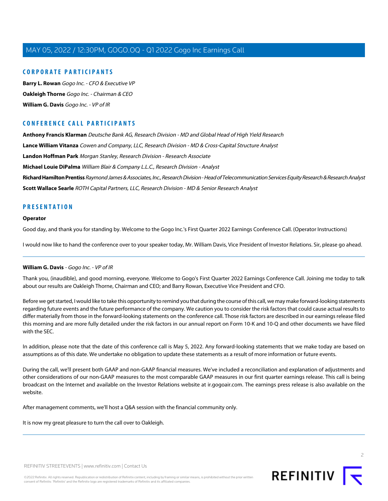# **CORPORATE PARTICIPANTS**

**[Barry L. Rowan](#page-4-0)** Gogo Inc. - CFO & Executive VP **[Oakleigh Thorne](#page-2-0)** Gogo Inc. - Chairman & CEO **[William G. Davis](#page-1-0)** Gogo Inc. - VP of IR

# **CONFERENCE CALL PARTICIPANTS**

**[Anthony Francis Klarman](#page-14-0)** Deutsche Bank AG, Research Division - MD and Global Head of High Yield Research

**[Lance William Vitanza](#page-7-0)** Cowen and Company, LLC, Research Division - MD & Cross-Capital Structure Analyst

**[Landon Hoffman Park](#page-8-0)** Morgan Stanley, Research Division - Research Associate

**[Michael Louie DiPalma](#page-12-0)** William Blair & Company L.L.C., Research Division - Analyst

**[Richard Hamilton Prentiss](#page-9-0)** Raymond James & Associates, Inc., Research Division - Head of Telecommunication Services Equity Research & Research Analyst **[Scott Wallace Searle](#page-11-0)** ROTH Capital Partners, LLC, Research Division - MD & Senior Research Analyst

# **PRESENTATION**

### **Operator**

Good day, and thank you for standing by. Welcome to the Gogo Inc.'s First Quarter 2022 Earnings Conference Call. (Operator Instructions)

<span id="page-1-0"></span>I would now like to hand the conference over to your speaker today, Mr. William Davis, Vice President of Investor Relations. Sir, please go ahead.

# **William G. Davis** - Gogo Inc. - VP of IR

Thank you, (inaudible), and good morning, everyone. Welcome to Gogo's First Quarter 2022 Earnings Conference Call. Joining me today to talk about our results are Oakleigh Thorne, Chairman and CEO; and Barry Rowan, Executive Vice President and CFO.

Before we get started, I would like to take this opportunity to remind you that during the course of this call, we may make forward-looking statements regarding future events and the future performance of the company. We caution you to consider the risk factors that could cause actual results to differ materially from those in the forward-looking statements on the conference call. Those risk factors are described in our earnings release filed this morning and are more fully detailed under the risk factors in our annual report on Form 10-K and 10-Q and other documents we have filed with the SEC.

In addition, please note that the date of this conference call is May 5, 2022. Any forward-looking statements that we make today are based on assumptions as of this date. We undertake no obligation to update these statements as a result of more information or future events.

During the call, we'll present both GAAP and non-GAAP financial measures. We've included a reconciliation and explanation of adjustments and other considerations of our non-GAAP measures to the most comparable GAAP measures in our first quarter earnings release. This call is being broadcast on the Internet and available on the Investor Relations website at ir.gogoair.com. The earnings press release is also available on the website.

After management comments, we'll host a Q&A session with the financial community only.

It is now my great pleasure to turn the call over to Oakleigh.

REFINITIV STREETEVENTS | [www.refinitiv.com](https://www.refinitiv.com/) | [Contact Us](https://www.refinitiv.com/en/contact-us)

©2022 Refinitiv. All rights reserved. Republication or redistribution of Refinitiv content, including by framing or similar means, is prohibited without the prior written consent of Refinitiv. 'Refinitiv' and the Refinitiv logo are registered trademarks of Refinitiv and its affiliated companies.

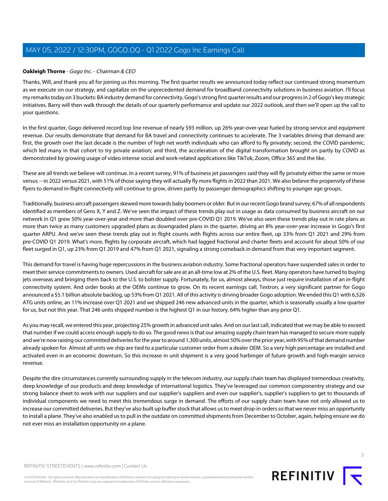# <span id="page-2-0"></span>**Oakleigh Thorne** - Gogo Inc. - Chairman & CEO

Thanks, Will, and thank you all for joining us this morning. The first quarter results we announced today reflect our continued strong momentum as we execute on our strategy, and capitalize on the unprecedented demand for broadband connectivity solutions in business aviation. I'll focus my remarks today on 3 buckets: BA industry demand for connectivity, Gogo's strong first quarter results and our progress in 2 of Gogo's key strategic initiatives. Barry will then walk through the details of our quarterly performance and update our 2022 outlook, and then we'll open up the call to your questions.

In the first quarter, Gogo delivered record top line revenue of nearly \$93 million, up 26% year-over-year fueled by strong service and equipment revenue. Our results demonstrate that demand for BA travel and connectivity continues to accelerate. The 3 variables driving that demand are: first, the growth over the last decade is the number of high net worth individuals who can afford to fly privately; second, the COVID pandemic, which led many in that cohort to try private aviation; and third, the acceleration of the digital transformation brought on partly by COVID as demonstrated by growing usage of video intense social and work-related applications like TikTok, Zoom, Office 365 and the like.

These are all trends we believe will continue. In a recent survey, 91% of business jet passengers said they will fly privately either the same or more versus -- in 2022 versus 2021, with 51% of those saying they will actually fly more flights in 2022 than 2021. We also believe the propensity of these flyers to demand in-flight connectivity will continue to grow, driven partly by passenger demographics shifting to younger age groups.

Traditionally, business aircraft passengers skewed more towards baby boomers or older. But in our recent Gogo brand survey, 67% of all respondents identified as members of Gens X, Y and Z. We've seen the impact of these trends play out in usage as data consumed by business aircraft on our network in Q1 grew 50% year-over-year and more than doubled over pre-COVID Q1 2019. We've also seen these trends play out in rate plans as more than twice as many customers upgraded plans as downgraded plans in the quarter, driving an 8% year-over-year increase in Gogo's first quarter ARPU. And we've seen these trends play out in flight counts with flights across our entire fleet, up 33% from Q1 2021 and 29% from pre-COVID Q1 2019. What's more, flights by corporate aircraft, which had lagged fractional and charter fleets and account for about 50% of our fleet surged in Q1, up 23% from Q1 2019 and 47% from Q1 2021, signaling a strong comeback in demand from that very important segment.

This demand for travel is having huge repercussions in the business aviation industry. Some fractional operators have suspended sales in order to meet their service commitments to owners. Used aircraft for sale are at an all-time low at 2% of the U.S. fleet. Many operators have turned to buying jets overseas and bringing them back to the U.S. to bolster supply. Fortunately, for us, almost always, those just require installation of an in-flight connectivity system. And order books at the OEMs continue to grow. On its recent earnings call, Textron, a very significant partner for Gogo announced a \$5.1 billion absolute backlog, up 53% from Q1 2021. All of this activity is driving broader Gogo adoption. We ended this Q1 with 6,526 ATG units online, an 11% increase over Q1 2021 and we shipped 246 new advanced units in the quarter, which is seasonally usually a low quarter for us, but not this year. That 246 units shipped number is the highest Q1 in our history. 64% higher than any prior Q1.

As you may recall, we entered this year, projecting 25% growth in advanced unit sales. And on our last call, indicated that we may be able to exceed that number if we could access enough supply to do so. The good news is that our amazing supply chain team has managed to secure more supply and we're now raising our committed deliveries for the year to around 1,300 units, almost 50% over the prior year, with 95% of that demand number already spoken for. Almost all units we ship are tied to a particular customer order from a dealer OEM. So a very high percentage are installed and activated even in an economic downturn. So this increase in unit shipment is a very good harbinger of future growth and high-margin service revenue.

Despite the dire circumstances currently surrounding supply in the telecom industry, our supply chain team has displayed tremendous creativity, deep knowledge of our products and deep knowledge of international logistics. They've leveraged our common componentry strategy and our strong balance sheet to work with our suppliers and our supplier's suppliers and even our supplier's, supplier's suppliers to get to thousands of individual components we need to meet this tremendous surge in demand. The efforts of our supply chain team have not only allowed us to increase our committed deliveries. But they've also built up buffer stock that allows us to meet drop-in orders so that we never miss an opportunity to install a plane. They've also enabled us to pull in the outdate on committed shipments from December to October, again, helping ensure we do not ever miss an installation opportunity on a plane.



**REFINITIV**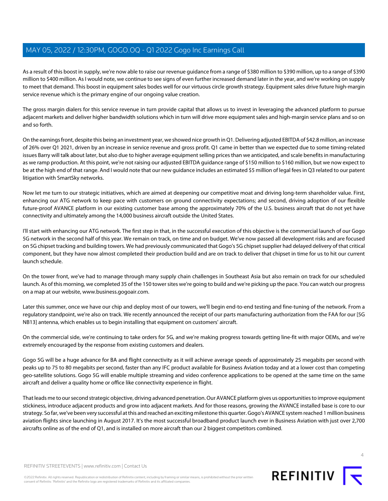As a result of this boost in supply, we're now able to raise our revenue guidance from a range of \$380 million to \$390 million, up to a range of \$390 million to \$400 million. As I would note, we continue to see signs of even further increased demand later in the year, and we're working on supply to meet that demand. This boost in equipment sales bodes well for our virtuous circle growth strategy. Equipment sales drive future high-margin service revenue which is the primary engine of our ongoing value creation.

The gross margin dialers for this service revenue in turn provide capital that allows us to invest in leveraging the advanced platform to pursue adjacent markets and deliver higher bandwidth solutions which in turn will drive more equipment sales and high-margin service plans and so on and so forth.

On the earnings front, despite this being an investment year, we showed nice growth in Q1. Delivering adjusted EBITDA of \$42.8 million, an increase of 26% over Q1 2021, driven by an increase in service revenue and gross profit. Q1 came in better than we expected due to some timing-related issues Barry will talk about later, but also due to higher average equipment selling prices than we anticipated, and scale benefits in manufacturing as we ramp production. At this point, we're not raising our adjusted EBITDA guidance range of \$150 million to \$160 million, but we now expect to be at the high end of that range. And I would note that our new guidance includes an estimated \$5 million of legal fees in Q3 related to our patent litigation with SmartSky networks.

Now let me turn to our strategic initiatives, which are aimed at deepening our competitive moat and driving long-term shareholder value. First, enhancing our ATG network to keep pace with customers on ground connectivity expectations; and second, driving adoption of our flexible future-proof AVANCE platform in our existing customer base among the approximately 70% of the U.S. business aircraft that do not yet have connectivity and ultimately among the 14,000 business aircraft outside the United States.

I'll start with enhancing our ATG network. The first step in that, in the successful execution of this objective is the commercial launch of our Gogo 5G network in the second half of this year. We remain on track, on time and on budget. We've now passed all development risks and are focused on 5G chipset tracking and building towers. We had previously communicated that Gogo's 5G chipset supplier had delayed delivery of that critical component, but they have now almost completed their production build and are on track to deliver that chipset in time for us to hit our current launch schedule.

On the tower front, we've had to manage through many supply chain challenges in Southeast Asia but also remain on track for our scheduled launch. As of this morning, we completed 35 of the 150 tower sites we're going to build and we're picking up the pace. You can watch our progress on a map at our website, www.business.gogoair.com.

Later this summer, once we have our chip and deploy most of our towers, we'll begin end-to-end testing and fine-tuning of the network. From a regulatory standpoint, we're also on track. We recently announced the receipt of our parts manufacturing authorization from the FAA for our [5G NB13] antenna, which enables us to begin installing that equipment on customers' aircraft.

On the commercial side, we're continuing to take orders for 5G, and we're making progress towards getting line-fit with major OEMs, and we're extremely encouraged by the response from existing customers and dealers.

Gogo 5G will be a huge advance for BA and flight connectivity as it will achieve average speeds of approximately 25 megabits per second with peaks up to 75 to 80 megabits per second, faster than any IFC product available for Business Aviation today and at a lower cost than competing geo-satellite solutions. Gogo 5G will enable multiple streaming and video conference applications to be opened at the same time on the same aircraft and deliver a quality home or office like connectivity experience in flight.

That leads me to our second strategic objective, driving advanced penetration. Our AVANCE platform gives us opportunities to improve equipment stickiness, introduce adjacent products and grow into adjacent markets. And for those reasons, growing the AVANCE installed base is core to our strategy. So far, we've been very successful at this and reached an exciting milestone this quarter. Gogo's AVANCE system reached 1 million business aviation flights since launching in August 2017. It's the most successful broadband product launch ever in Business Aviation with just over 2,700 aircrafts online as of the end of Q1, and is installed on more aircraft than our 2 biggest competitors combined.

©2022 Refinitiv. All rights reserved. Republication or redistribution of Refinitiv content, including by framing or similar means, is prohibited without the prior written consent of Refinitiv. 'Refinitiv' and the Refinitiv logo are registered trademarks of Refinitiv and its affiliated companies.

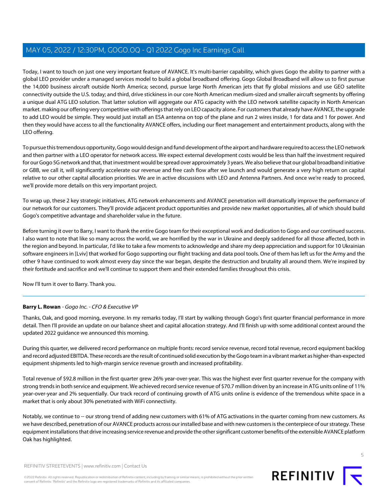Today, I want to touch on just one very important feature of AVANCE. It's multi-barrier capability, which gives Gogo the ability to partner with a global LEO provider under a managed services model to build a global broadband offering. Gogo Global Broadband will allow us to first pursue the 14,000 business aircraft outside North America; second, pursue large North American jets that fly global missions and use GEO satellite connectivity outside the U.S. today; and third, drive stickiness in our core North American medium-sized and smaller aircraft segments by offering a unique dual ATG LEO solution. That latter solution will aggregate our ATG capacity with the LEO network satellite capacity in North American market. making our offering very competitive with offerings that rely on LEO capacity alone. For customers that already have AVANCE, the upgrade to add LEO would be simple. They would just install an ESA antenna on top of the plane and run 2 wires inside, 1 for data and 1 for power. And then they would have access to all the functionality AVANCE offers, including our fleet management and entertainment products, along with the LEO offering.

To pursue this tremendous opportunity, Gogo would design and fund development of the airport and hardware required to access the LEO network and then partner with a LEO operator for network access. We expect external development costs would be less than half the investment required for our Gogo 5G network and that, that investment would be spread over approximately 3 years. We also believe that our global broadband initiative or GBB, we call it, will significantly accelerate our revenue and free cash flow after we launch and would generate a very high return on capital relative to our other capital allocation priorities. We are in active discussions with LEO and Antenna Partners. And once we're ready to proceed, we'll provide more details on this very important project.

To wrap up, these 2 key strategic initiatives, ATG network enhancements and AVANCE penetration will dramatically improve the performance of our network for our customers. They'll provide adjacent product opportunities and provide new market opportunities, all of which should build Gogo's competitive advantage and shareholder value in the future.

Before turning it over to Barry, I want to thank the entire Gogo team for their exceptional work and dedication to Gogo and our continued success. I also want to note that like so many across the world, we are horrified by the war in Ukraine and deeply saddened for all those affected, both in the region and beyond. In particular, I'd like to take a few moments to acknowledge and share my deep appreciation and support for 10 Ukrainian software engineers in [Lviv] that worked for Gogo supporting our flight tracking and data pool tools. One of them has left us for the Army and the other 9 have continued to work almost every day since the war began, despite the destruction and brutality all around them. We're inspired by their fortitude and sacrifice and we'll continue to support them and their extended families throughout this crisis.

<span id="page-4-0"></span>Now I'll turn it over to Barry. Thank you.

# **Barry L. Rowan** - Gogo Inc. - CFO & Executive VP

Thanks, Oak, and good morning, everyone. In my remarks today, I'll start by walking through Gogo's first quarter financial performance in more detail. Then I'll provide an update on our balance sheet and capital allocation strategy. And I'll finish up with some additional context around the updated 2022 guidance we announced this morning.

During this quarter, we delivered record performance on multiple fronts: record service revenue, record total revenue, record equipment backlog and record adjusted EBITDA. These records are the result of continued solid execution by the Gogo team in a vibrant market as higher-than-expected equipment shipments led to high-margin service revenue growth and increased profitability.

Total revenue of \$92.8 million in the first quarter grew 26% year-over-year. This was the highest ever first quarter revenue for the company with strong trends in both service and equipment. We achieved record service revenue of \$70.7 million driven by an increase in ATG units online of 11% year-over-year and 2% sequentially. Our track record of continuing growth of ATG units online is evidence of the tremendous white space in a market that is only about 30% penetrated with WiFi connectivity.

Notably, we continue to -- our strong trend of adding new customers with 61% of ATG activations in the quarter coming from new customers. As we have described, penetration of our AVANCE products across our installed base and with new customers is the centerpiece of our strategy. These equipment installations that drive increasing service revenue and provide the other significant customer benefits of the extensible AVANCE platform Oak has highlighted.

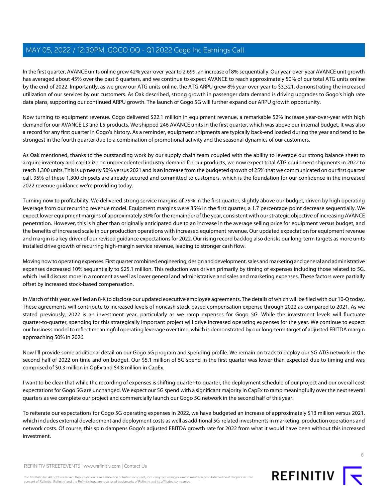In the first quarter, AVANCE units online grew 42% year-over-year to 2,699, an increase of 8% sequentially. Our year-over-year AVANCE unit growth has averaged about 45% over the past 6 quarters, and we continue to expect AVANCE to reach approximately 50% of our total ATG units online by the end of 2022. Importantly, as we grew our ATG units online, the ATG ARPU grew 8% year-over-year to \$3,321, demonstrating the increased utilization of our services by our customers. As Oak described, strong growth in passenger data demand is driving upgrades to Gogo's high rate data plans, supporting our continued ARPU growth. The launch of Gogo 5G will further expand our ARPU growth opportunity.

Now turning to equipment revenue. Gogo delivered \$22.1 million in equipment revenue, a remarkable 52% increase year-over-year with high demand for our AVANCE L3 and L5 products. We shipped 246 AVANCE units in the first quarter, which was above our internal budget. It was also a record for any first quarter in Gogo's history. As a reminder, equipment shipments are typically back-end loaded during the year and tend to be strongest in the fourth quarter due to a combination of promotional activity and the seasonal dynamics of our customers.

As Oak mentioned, thanks to the outstanding work by our supply chain team coupled with the ability to leverage our strong balance sheet to acquire inventory and capitalize on unprecedented industry demand for our products, we now expect total ATG equipment shipments in 2022 to reach 1,300 units. This is up nearly 50% versus 2021 and is an increase from the budgeted growth of 25% that we communicated on our first quarter call. 95% of these 1,300 chipsets are already secured and committed to customers, which is the foundation for our confidence in the increased 2022 revenue guidance we're providing today.

Turning now to profitability. We delivered strong service margins of 79% in the first quarter, slightly above our budget, driven by high operating leverage from our recurring revenue model. Equipment margins were 35% in the first quarter, a 1.7 percentage point decrease sequentially. We expect lower equipment margins of approximately 30% for the remainder of the year, consistent with our strategic objective of increasing AVANCE penetration. However, this is higher than originally anticipated due to an increase in the average selling price for equipment versus budget, and the benefits of increased scale in our production operations with increased equipment revenue. Our updated expectation for equipment revenue and margin is a key driver of our revised guidance expectations for 2022. Our rising record backlog also derisks our long-term targets as more units installed drive growth of recurring high-margin service revenue, leading to stronger cash flow.

Moving now to operating expenses. First quarter combined engineering, design and development, sales and marketing and general and administrative expenses decreased 10% sequentially to \$25.1 million. This reduction was driven primarily by timing of expenses including those related to 5G, which I will discuss more in a moment as well as lower general and administrative and sales and marketing expenses. These factors were partially offset by increased stock-based compensation.

In March of this year, we filed an 8-K to disclose our updated executive employee agreements. The details of which will be filed with our 10-Q today. These agreements will contribute to increased levels of noncash stock-based compensation expense through 2022 as compared to 2021. As we stated previously, 2022 is an investment year, particularly as we ramp expenses for Gogo 5G. While the investment levels will fluctuate quarter-to-quarter, spending for this strategically important project will drive increased operating expenses for the year. We continue to expect our business model to reflect meaningful operating leverage over time, which is demonstrated by our long-term target of adjusted EBITDA margin approaching 50% in 2026.

Now I'll provide some additional detail on our Gogo 5G program and spending profile. We remain on track to deploy our 5G ATG network in the second half of 2022 on time and on budget. Our \$5.1 million of 5G spend in the first quarter was lower than expected due to timing and was comprised of \$0.3 million in OpEx and \$4.8 million in CapEx.

I want to be clear that while the recording of expenses is shifting quarter-to-quarter, the deployment schedule of our project and our overall cost expectations for Gogo 5G are unchanged. We expect our 5G spend with a significant majority in CapEx to ramp meaningfully over the next several quarters as we complete our project and commercially launch our Gogo 5G network in the second half of this year.

To reiterate our expectations for Gogo 5G operating expenses in 2022, we have budgeted an increase of approximately \$13 million versus 2021, which includes external development and deployment costs as well as additional 5G-related investments in marketing, production operations and network costs. Of course, this spin dampens Gogo's adjusted EBITDA growth rate for 2022 from what it would have been without this increased investment.



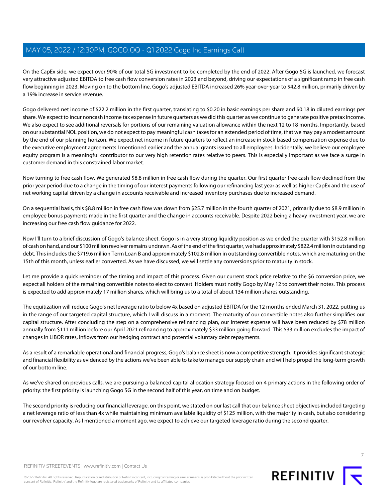On the CapEx side, we expect over 90% of our total 5G investment to be completed by the end of 2022. After Gogo 5G is launched, we forecast very attractive adjusted EBITDA to free cash flow conversion rates in 2023 and beyond, driving our expectations of a significant ramp in free cash flow beginning in 2023. Moving on to the bottom line. Gogo's adjusted EBITDA increased 26% year-over-year to \$42.8 million, primarily driven by a 19% increase in service revenue.

Gogo delivered net income of \$22.2 million in the first quarter, translating to \$0.20 in basic earnings per share and \$0.18 in diluted earnings per share. We expect to incur noncash income tax expense in future quarters as we did this quarter as we continue to generate positive pretax income. We also expect to see additional reversals for portions of our remaining valuation allowance within the next 12 to 18 months. Importantly, based on our substantial NOL position, we do not expect to pay meaningful cash taxes for an extended period of time, that we may pay a modest amount by the end of our planning horizon. We expect net income in future quarters to reflect an increase in stock-based compensation expense due to the executive employment agreements I mentioned earlier and the annual grants issued to all employees. Incidentally, we believe our employee equity program is a meaningful contributor to our very high retention rates relative to peers. This is especially important as we face a surge in customer demand in this constrained labor market.

Now turning to free cash flow. We generated \$8.8 million in free cash flow during the quarter. Our first quarter free cash flow declined from the prior year period due to a change in the timing of our interest payments following our refinancing last year as well as higher CapEx and the use of net working capital driven by a change in accounts receivable and increased inventory purchases due to increased demand.

On a sequential basis, this \$8.8 million in free cash flow was down from \$25.7 million in the fourth quarter of 2021, primarily due to \$8.9 million in employee bonus payments made in the first quarter and the change in accounts receivable. Despite 2022 being a heavy investment year, we are increasing our free cash flow guidance for 2022.

Now I'll turn to a brief discussion of Gogo's balance sheet. Gogo is in a very strong liquidity position as we ended the quarter with \$152.8 million of cash on hand, and our \$100 million revolver remains undrawn. As of the end of the first quarter, we had approximately \$822.4 million in outstanding debt. This includes the \$719.6 million Term Loan B and approximately \$102.8 million in outstanding convertible notes, which are maturing on the 15th of this month, unless earlier converted. As we have discussed, we will settle any conversions prior to maturity in stock.

Let me provide a quick reminder of the timing and impact of this process. Given our current stock price relative to the \$6 conversion price, we expect all holders of the remaining convertible notes to elect to convert. Holders must notify Gogo by May 12 to convert their notes. This process is expected to add approximately 17 million shares, which will bring us to a total of about 134 million shares outstanding.

The equitization will reduce Gogo's net leverage ratio to below 4x based on adjusted EBITDA for the 12 months ended March 31, 2022, putting us in the range of our targeted capital structure, which I will discuss in a moment. The maturity of our convertible notes also further simplifies our capital structure. After concluding the step on a comprehensive refinancing plan, our interest expense will have been reduced by \$78 million annually from \$111 million before our April 2021 refinancing to approximately \$33 million going forward. This \$33 million excludes the impact of changes in LIBOR rates, inflows from our hedging contract and potential voluntary debt repayments.

As a result of a remarkable operational and financial progress, Gogo's balance sheet is now a competitive strength. It provides significant strategic and financial flexibility as evidenced by the actions we've been able to take to manage our supply chain and will help propel the long-term growth of our bottom line.

As we've shared on previous calls, we are pursuing a balanced capital allocation strategy focused on 4 primary actions in the following order of priority: the first priority is launching Gogo 5G in the second half of this year, on time and on budget.

The second priority is reducing our financial leverage, on this point, we stated on our last call that our balance sheet objectives included targeting a net leverage ratio of less than 4x while maintaining minimum available liquidity of \$125 million, with the majority in cash, but also considering our revolver capacity. As I mentioned a moment ago, we expect to achieve our targeted leverage ratio during the second quarter.



©2022 Refinitiv. All rights reserved. Republication or redistribution of Refinitiv content, including by framing or similar means, is prohibited without the prior written consent of Refinitiv. 'Refinitiv' and the Refinitiv logo are registered trademarks of Refinitiv and its affiliated companies.



REFINITIV **I**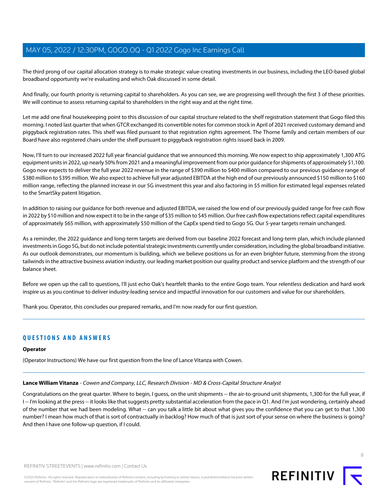The third prong of our capital allocation strategy is to make strategic value-creating investments in our business, including the LEO-based global broadband opportunity we're evaluating and which Oak discussed in some detail.

And finally, our fourth priority is returning capital to shareholders. As you can see, we are progressing well through the first 3 of these priorities. We will continue to assess returning capital to shareholders in the right way and at the right time.

Let me add one final housekeeping point to this discussion of our capital structure related to the shelf registration statement that Gogo filed this morning. I noted last quarter that when GTCR exchanged its convertible notes for common stock in April of 2021 received customary demand and piggyback registration rates. This shelf was filed pursuant to that registration rights agreement. The Thorne family and certain members of our Board have also registered chairs under the shelf pursuant to piggyback registration rights issued back in 2009.

Now, I'll turn to our increased 2022 full year financial guidance that we announced this morning. We now expect to ship approximately 1,300 ATG equipment units in 2022, up nearly 50% from 2021 and a meaningful improvement from our prior guidance for shipments of approximately \$1,100. Gogo now expects to deliver the full year 2022 revenue in the range of \$390 million to \$400 million compared to our previous guidance range of \$380 million to \$395 million. We also expect to achieve full year adjusted EBITDA at the high end of our previously announced \$150 million to \$160 million range, reflecting the planned increase in our 5G investment this year and also factoring in \$5 million for estimated legal expenses related to the SmartSky patent litigation.

In addition to raising our guidance for both revenue and adjusted EBITDA, we raised the low end of our previously guided range for free cash flow in 2022 by \$10 million and now expect it to be in the range of \$35 million to \$45 million. Our free cash flow expectations reflect capital expenditures of approximately \$65 million, with approximately \$50 million of the CapEx spend tied to Gogo 5G. Our 5-year targets remain unchanged.

As a reminder, the 2022 guidance and long-term targets are derived from our baseline 2022 forecast and long-term plan, which include planned investments in Gogo 5G, but do not include potential strategic investments currently under consideration, including the global broadband initiative. As our outlook demonstrates, our momentum is building, which we believe positions us for an even brighter future, stemming from the strong tailwinds in the attractive business aviation industry, our leading market position our quality product and service platform and the strength of our balance sheet.

Before we open up the call to questions, I'll just echo Oak's heartfelt thanks to the entire Gogo team. Your relentless dedication and hard work inspire us as you continue to deliver industry-leading service and impactful innovation for our customers and value for our shareholders.

Thank you. Operator, this concludes our prepared remarks, and I'm now ready for our first question.

# **QUESTIONS AND ANSWERS**

#### <span id="page-7-0"></span>**Operator**

(Operator Instructions) We have our first question from the line of Lance Vitanza with Cowen.

#### **Lance William Vitanza** - Cowen and Company, LLC, Research Division - MD & Cross-Capital Structure Analyst

Congratulations on the great quarter. Where to begin, I guess, on the unit shipments -- the air-to-ground unit shipments, 1,300 for the full year, if I-- I'm looking at the press -- it looks like that suggests pretty substantial acceleration from the pace in Q1. And I'm just wondering, certainly ahead of the number that we had been modeling. What -- can you talk a little bit about what gives you the confidence that you can get to that 1,300 number? I mean how much of that is sort of contractually in backlog? How much of that is just sort of your sense on where the business is going? And then I have one follow-up question, if I could.



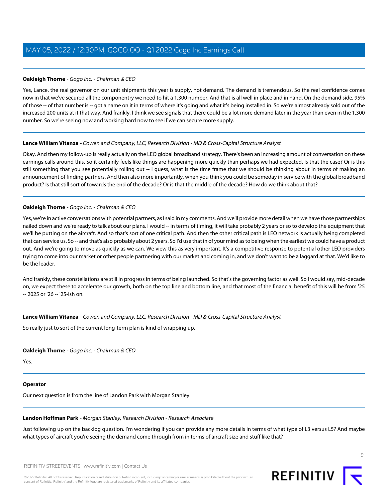# **Oakleigh Thorne** - Gogo Inc. - Chairman & CEO

Yes, Lance, the real governor on our unit shipments this year is supply, not demand. The demand is tremendous. So the real confidence comes now in that we've secured all the componentry we need to hit a 1,300 number. And that is all well in place and in hand. On the demand side, 95% of those -- of that number is -- got a name on it in terms of where it's going and what it's being installed in. So we're almost already sold out of the increased 200 units at it that way. And frankly, I think we see signals that there could be a lot more demand later in the year than even in the 1,300 number. So we're seeing now and working hard now to see if we can secure more supply.

# **Lance William Vitanza** - Cowen and Company, LLC, Research Division - MD & Cross-Capital Structure Analyst

Okay. And then my follow-up is really actually on the LEO global broadband strategy. There's been an increasing amount of conversation on these earnings calls around this. So it certainly feels like things are happening more quickly than perhaps we had expected. Is that the case? Or is this still something that you see potentially rolling out -- I guess, what is the time frame that we should be thinking about in terms of making an announcement of finding partners. And then also more importantly, when you think you could be someday in service with the global broadband product? Is that still sort of towards the end of the decade? Or is that the middle of the decade? How do we think about that?

# **Oakleigh Thorne** - Gogo Inc. - Chairman & CEO

Yes, we're in active conversations with potential partners, as I said in my comments. And we'll provide more detail when we have those partnerships nailed down and we're ready to talk about our plans. I would -- in terms of timing, it will take probably 2 years or so to develop the equipment that we'll be putting on the aircraft. And so that's sort of one critical path. And then the other critical path is LEO network is actually being completed that can service us. So -- and that's also probably about 2 years. So I'd use that in of your mind as to being when the earliest we could have a product out. And we're going to move as quickly as we can. We view this as very important. It's a competitive response to potential other LEO providers trying to come into our market or other people partnering with our market and coming in, and we don't want to be a laggard at that. We'd like to be the leader.

And frankly, these constellations are still in progress in terms of being launched. So that's the governing factor as well. So I would say, mid-decade on, we expect these to accelerate our growth, both on the top line and bottom line, and that most of the financial benefit of this will be from '25 -- 2025 or '26 -- '25-ish on.

# **Lance William Vitanza** - Cowen and Company, LLC, Research Division - MD & Cross-Capital Structure Analyst

So really just to sort of the current long-term plan is kind of wrapping up.

# **Oakleigh Thorne** - Gogo Inc. - Chairman & CEO

Yes.

# <span id="page-8-0"></span>**Operator**

Our next question is from the line of Landon Park with Morgan Stanley.

#### **Landon Hoffman Park** - Morgan Stanley, Research Division - Research Associate

Just following up on the backlog question. I'm wondering if you can provide any more details in terms of what type of L3 versus L5? And maybe what types of aircraft you're seeing the demand come through from in terms of aircraft size and stuff like that?

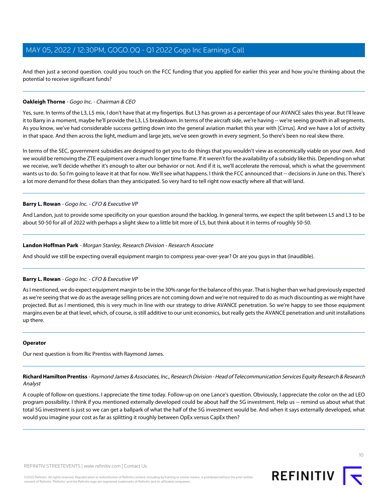And then just a second question. could you touch on the FCC funding that you applied for earlier this year and how you're thinking about the potential to receive significant funds?

### **Oakleigh Thorne** - Gogo Inc. - Chairman & CEO

Yes, sure. In terms of the L3, L5 mix, I don't have that at my fingertips. But L3 has grown as a percentage of our AVANCE sales this year. But I'll leave it to Barry in a moment, maybe he'll provide the L3, L5 breakdown. In terms of the aircraft side, we're having -- we're seeing growth in all segments. As you know, we've had considerable success getting down into the general aviation market this year with [Cirrus]. And we have a lot of activity in that space. And then across the light, medium and large jets, we've seen growth in every segment. So there's been no real skew there.

In terms of the SEC, government subsidies are designed to get you to do things that you wouldn't view as economically viable on your own. And we would be removing the ZTE equipment over a much longer time frame. If it weren't for the availability of a subsidy like this. Depending on what we receive, we'll decide whether it's enough to alter our behavior or not. And if it is, we'll accelerate the removal, which is what the government wants us to do. So I'm going to leave it at that for now. We'll see what happens. I think the FCC announced that -- decisions in June on this. There's a lot more demand for these dollars than they anticipated. So very hard to tell right now exactly where all that will land.

#### **Barry L. Rowan** - Gogo Inc. - CFO & Executive VP

And Landon, just to provide some specificity on your question around the backlog. In general terms, we expect the split between L5 and L3 to be about 50-50 for all of 2022 with perhaps a slight skew to a little bit more of L5, but think about it in terms of roughly 50-50.

#### **Landon Hoffman Park** - Morgan Stanley, Research Division - Research Associate

And should we still be expecting overall equipment margin to compress year-over-year? Or are you guys in that (inaudible).

# **Barry L. Rowan** - Gogo Inc. - CFO & Executive VP

As I mentioned, we do expect equipment margin to be in the 30% range for the balance of this year. That is higher than we had previously expected as we're seeing that we do as the average selling prices are not coming down and we're not required to do as much discounting as we might have projected. But as I mentioned, this is very much in line with our strategy to drive AVANCE penetration. So we're happy to see those equipment margins even be at that level, which, of course, is still additive to our unit economics, but really gets the AVANCE penetration and unit installations up there.

#### <span id="page-9-0"></span>**Operator**

Our next question is from Ric Prentiss with Raymond James.

**Richard Hamilton Prentiss** - Raymond James & Associates, Inc., Research Division - Head of Telecommunication Services Equity Research & Research Analyst

A couple of follow-on questions. I appreciate the time today. Follow-up on one Lance's question. Obviously, I appreciate the color on the ad LEO program possibility. I think if you mentioned externally developed could be about half the 5G investment. Help us -- remind us about what that total 5G investment is just so we can get a ballpark of what the half of the 5G investment would be. And when it says externally developed, what would you imagine your cost as far as splitting it roughly between OpEx versus CapEx then?

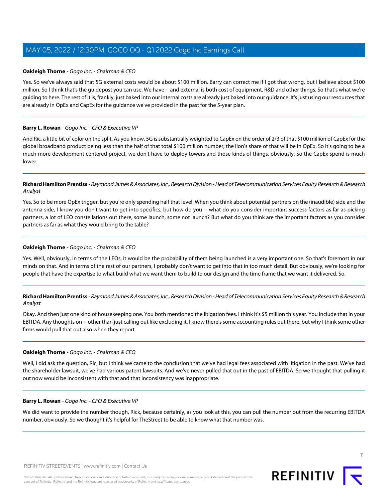### **Oakleigh Thorne** - Gogo Inc. - Chairman & CEO

Yes. So we've always said that 5G external costs would be about \$100 million. Barry can correct me if I got that wrong, but I believe about \$100 million. So I think that's the guidepost you can use. We have -- and external is both cost of equipment, R&D and other things. So that's what we're guiding to here. The rest of it is, frankly, just baked into our internal costs are already just baked into our guidance. It's just using our resources that are already in OpEx and CapEx for the guidance we've provided in the past for the 5-year plan.

#### **Barry L. Rowan** - Gogo Inc. - CFO & Executive VP

And Ric, a little bit of color on the split. As you know, 5G is substantially weighted to CapEx on the order of 2/3 of that \$100 million of CapEx for the global broadband product being less than the half of that total \$100 million number, the lion's share of that will be in OpEx. So it's going to be a much more development centered project, we don't have to deploy towers and those kinds of things, obviously. So the CapEx spend is much lower.

# **Richard Hamilton Prentiss** - Raymond James & Associates, Inc., Research Division - Head of Telecommunication Services Equity Research & Research Analyst

Yes. So to be more OpEx trigger, but you're only spending half that level. When you think about potential partners on the (inaudible) side and the antenna side, I know you don't want to get into specifics, but how do you -- what do you consider important success factors as far as picking partners, a lot of LEO constellations out there, some launch, some not launch? But what do you think are the important factors as you consider partners as far as what they would bring to the table?

### **Oakleigh Thorne** - Gogo Inc. - Chairman & CEO

Yes. Well, obviously, in terms of the LEOs, it would be the probability of them being launched is a very important one. So that's foremost in our minds on that. And in terms of the rest of our partners, I probably don't want to get into that in too much detail. But obviously, we're looking for people that have the expertise to what build what we want them to build to our design and the time frame that we want it delivered. So.

# **Richard Hamilton Prentiss** - Raymond James & Associates, Inc., Research Division - Head of Telecommunication Services Equity Research & Research Analyst

Okay. And then just one kind of housekeeping one. You both mentioned the litigation fees. I think it's \$5 million this year. You include that in your EBITDA. Any thoughts on -- other than just calling out like excluding it, I know there's some accounting rules out there, but why I think some other firms would pull that out also when they report.

# **Oakleigh Thorne** - Gogo Inc. - Chairman & CEO

Well, I did ask the question, Ric, but I think we came to the conclusion that we've had legal fees associated with litigation in the past. We've had the shareholder lawsuit, we've had various patent lawsuits. And we've never pulled that out in the past of EBITDA. So we thought that pulling it out now would be inconsistent with that and that inconsistency was inappropriate.

#### **Barry L. Rowan** - Gogo Inc. - CFO & Executive VP

We did want to provide the number though, Rick, because certainly, as you look at this, you can pull the number out from the recurring EBITDA number, obviously. So we thought it's helpful for TheStreet to be able to know what that number was.

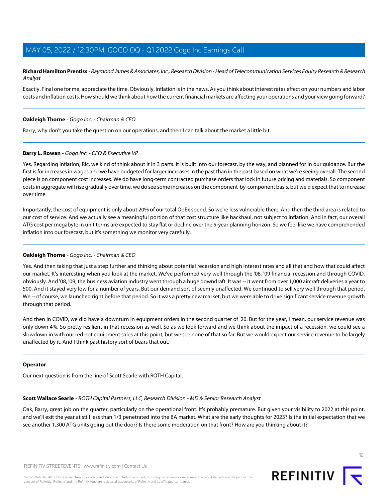**Richard Hamilton Prentiss** - Raymond James & Associates, Inc., Research Division - Head of Telecommunication Services Equity Research & Research Analyst

Exactly. Final one for me, appreciate the time. Obviously, inflation is in the news. As you think about interest rates effect on your numbers and labor costs and inflation costs. How should we think about how the current financial markets are affecting your operations and your view going forward?

#### **Oakleigh Thorne** - Gogo Inc. - Chairman & CEO

Barry, why don't you take the question on our operations, and then I can talk about the market a little bit.

#### **Barry L. Rowan** - Gogo Inc. - CFO & Executive VP

Yes. Regarding inflation, Ric, we kind of think about it in 3 parts. It is built into our forecast, by the way, and planned for in our guidance. But the first is for increases in wages and we have budgeted for larger increases in the past than in the past based on what we're seeing overall. The second piece is on component cost increases. We do have long-term contracted purchase orders that lock in future pricing and materials. So component costs in aggregate will rise gradually over time, we do see some increases on the component-by-component basis, but we'd expect that to increase over time.

Importantly, the cost of equipment is only about 20% of our total OpEx spend. So we're less vulnerable there. And then the third area is related to our cost of service. And we actually see a meaningful portion of that cost structure like backhaul, not subject to inflation. And in fact, our overall ATG cost per megabyte in unit terms are expected to stay flat or decline over the 5-year planning horizon. So we feel like we have comprehended inflation into our forecast, but it's something we monitor very carefully.

# **Oakleigh Thorne** - Gogo Inc. - Chairman & CEO

Yes. And then taking that just a step further and thinking about potential recession and high interest rates and all that and how that could affect our market. It's interesting when you look at the market. We've performed very well through the '08, '09 financial recession and through COVID, obviously. And '08, '09, the business aviation industry went through a huge downdraft. It was -- it went from over 1,000 aircraft deliveries a year to 500. And it stayed very low for a number of years. But our demand sort of seemly unaffected. We continued to sell very well through that period. We -- of course, we launched right before that period. So it was a pretty new market, but we were able to drive significant service revenue growth through that period.

And then in COVID, we did have a downturn in equipment orders in the second quarter of '20. But for the year, I mean, our service revenue was only down 4%. So pretty resilient in that recession as well. So as we look forward and we think about the impact of a recession, we could see a slowdown in with our red hot equipment sales at this point, but we see none of that so far. But we would expect our service revenue to be largely unaffected by it. And I think past history sort of bears that out.

#### <span id="page-11-0"></span>**Operator**

Our next question is from the line of Scott Searle with ROTH Capital.

#### **Scott Wallace Searle** - ROTH Capital Partners, LLC, Research Division - MD & Senior Research Analyst

Oak, Barry, great job on the quarter, particularly on the operational front. It's probably premature. But given your visibility to 2022 at this point, and we'll exit the year at still less than 1/3 penetrated into the BA market. What are the early thoughts for 2023? Is the initial expectation that we see another 1,300 ATG units going out the door? Is there some moderation on that front? How are you thinking about it?

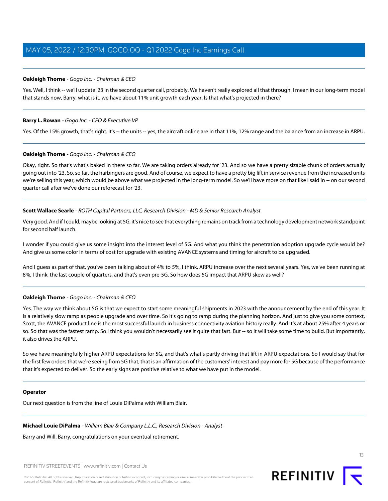### **Oakleigh Thorne** - Gogo Inc. - Chairman & CEO

Yes. Well, I think -- we'll update '23 in the second quarter call, probably. We haven't really explored all that through. I mean in our long-term model that stands now, Barry, what is it, we have about 11% unit growth each year. Is that what's projected in there?

#### **Barry L. Rowan** - Gogo Inc. - CFO & Executive VP

Yes. Of the 15% growth, that's right. It's -- the units -- yes, the aircraft online are in that 11%, 12% range and the balance from an increase in ARPU.

#### **Oakleigh Thorne** - Gogo Inc. - Chairman & CEO

Okay, right. So that's what's baked in there so far. We are taking orders already for '23. And so we have a pretty sizable chunk of orders actually going out into '23. So, so far, the harbingers are good. And of course, we expect to have a pretty big lift in service revenue from the increased units we're selling this year, which would be above what we projected in the long-term model. So we'll have more on that like I said in -- on our second quarter call after we've done our reforecast for '23.

#### **Scott Wallace Searle** - ROTH Capital Partners, LLC, Research Division - MD & Senior Research Analyst

Very good. And if I could, maybe looking at 5G, it's nice to see that everything remains on track from a technology development network standpoint for second half launch.

I wonder if you could give us some insight into the interest level of 5G. And what you think the penetration adoption upgrade cycle would be? And give us some color in terms of cost for upgrade with existing AVANCE systems and timing for aircraft to be upgraded.

And I guess as part of that, you've been talking about of 4% to 5%, I think, ARPU increase over the next several years. Yes, we've been running at 8%, I think, the last couple of quarters, and that's even pre-5G. So how does 5G impact that ARPU skew as well?

# **Oakleigh Thorne** - Gogo Inc. - Chairman & CEO

Yes. The way we think about 5G is that we expect to start some meaningful shipments in 2023 with the announcement by the end of this year. It is a relatively slow ramp as people upgrade and over time. So it's going to ramp during the planning horizon. And just to give you some context, Scott, the AVANCE product line is the most successful launch in business connectivity aviation history really. And it's at about 25% after 4 years or so. So that was the fastest ramp. So I think you wouldn't necessarily see it quite that fast. But -- so it will take some time to build. But importantly, it also drives the ARPU.

So we have meaningfully higher ARPU expectations for 5G, and that's what's partly driving that lift in ARPU expectations. So I would say that for the first few orders that we're seeing from 5G that, that is an affirmation of the customers' interest and pay more for 5G because of the performance that it's expected to deliver. So the early signs are positive relative to what we have put in the model.

#### <span id="page-12-0"></span>**Operator**

Our next question is from the line of Louie DiPalma with William Blair.

#### **Michael Louie DiPalma** - William Blair & Company L.L.C., Research Division - Analyst

Barry and Will. Barry, congratulations on your eventual retirement.

REFINITIV STREETEVENTS | [www.refinitiv.com](https://www.refinitiv.com/) | [Contact Us](https://www.refinitiv.com/en/contact-us)

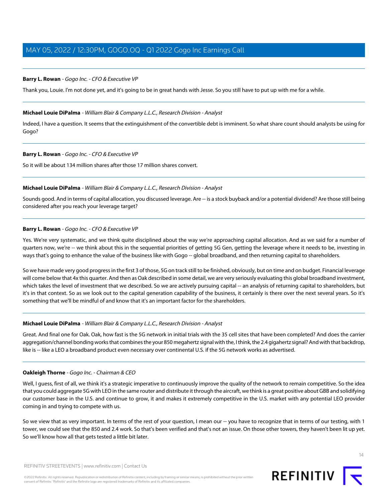# **Barry L. Rowan** - Gogo Inc. - CFO & Executive VP

Thank you, Louie. I'm not done yet, and it's going to be in great hands with Jesse. So you still have to put up with me for a while.

#### **Michael Louie DiPalma** - William Blair & Company L.L.C., Research Division - Analyst

Indeed, I have a question. It seems that the extinguishment of the convertible debt is imminent. So what share count should analysts be using for Gogo?

#### **Barry L. Rowan** - Gogo Inc. - CFO & Executive VP

So it will be about 134 million shares after those 17 million shares convert.

#### **Michael Louie DiPalma** - William Blair & Company L.L.C., Research Division - Analyst

Sounds good. And in terms of capital allocation, you discussed leverage. Are -- is a stock buyback and/or a potential dividend? Are those still being considered after you reach your leverage target?

#### **Barry L. Rowan** - Gogo Inc. - CFO & Executive VP

Yes. We're very systematic, and we think quite disciplined about the way we're approaching capital allocation. And as we said for a number of quarters now, we're -- we think about this in the sequential priorities of getting 5G Gen, getting the leverage where it needs to be, investing in ways that's going to enhance the value of the business like with Gogo -- global broadband, and then returning capital to shareholders.

So we have made very good progress in the first 3 of those, 5G on track still to be finished, obviously, but on time and on budget. Financial leverage will come below that 4x this quarter. And then as Oak described in some detail, we are very seriously evaluating this global broadband investment, which takes the level of investment that we described. So we are actively pursuing capital -- an analysis of returning capital to shareholders, but it's in that context. So as we look out to the capital generation capability of the business, it certainly is there over the next several years. So it's something that we'll be mindful of and know that it's an important factor for the shareholders.

#### **Michael Louie DiPalma** - William Blair & Company L.L.C., Research Division - Analyst

Great. And final one for Oak. Oak, how fast is the 5G network in initial trials with the 35 cell sites that have been completed? And does the carrier aggregation/channel bonding works that combines the your 850 megahertz signal with the, I think, the 2.4 gigahertz signal? And with that backdrop, like is -- like a LEO a broadband product even necessary over continental U.S. if the 5G network works as advertised.

#### **Oakleigh Thorne** - Gogo Inc. - Chairman & CEO

Well, I guess, first of all, we think it's a strategic imperative to continuously improve the quality of the network to remain competitive. So the idea that you could aggregate 5G with LEO in the same router and distribute it through the aircraft, we think is a great positive about GBB and solidifying our customer base in the U.S. and continue to grow, it and makes it extremely competitive in the U.S. market with any potential LEO provider coming in and trying to compete with us.

So we view that as very important. In terms of the rest of your question, I mean our -- you have to recognize that in terms of our testing, with 1 tower, we could see that the 850 and 2.4 work. So that's been verified and that's not an issue. On those other towers, they haven't been lit up yet. So we'll know how all that gets tested a little bit later.

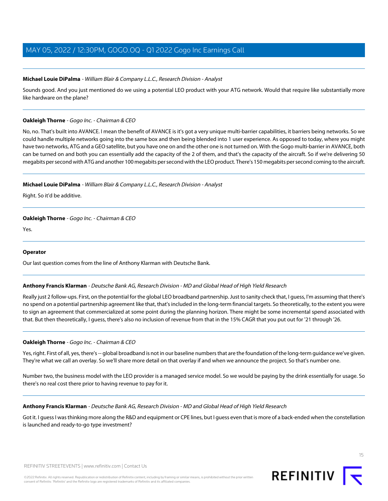# **Michael Louie DiPalma** - William Blair & Company L.L.C., Research Division - Analyst

Sounds good. And you just mentioned do we using a potential LEO product with your ATG network. Would that require like substantially more like hardware on the plane?

# **Oakleigh Thorne** - Gogo Inc. - Chairman & CEO

No, no. That's built into AVANCE. I mean the benefit of AVANCE is it's got a very unique multi-barrier capabilities, it barriers being networks. So we could handle multiple networks going into the same box and then being blended into 1 user experience. As opposed to today, where you might have two networks, ATG and a GEO satellite, but you have one on and the other one is not turned on. With the Gogo multi-barrier in AVANCE, both can be turned on and both you can essentially add the capacity of the 2 of them, and that's the capacity of the aircraft. So if we're delivering 50 megabits per second with ATG and another 100 megabits per second with the LEO product. There's 150 megabits per second coming to the aircraft.

# **Michael Louie DiPalma** - William Blair & Company L.L.C., Research Division - Analyst

Right. So it'd be additive.

# **Oakleigh Thorne** - Gogo Inc. - Chairman & CEO

Yes.

# <span id="page-14-0"></span>**Operator**

Our last question comes from the line of Anthony Klarman with Deutsche Bank.

# **Anthony Francis Klarman** - Deutsche Bank AG, Research Division - MD and Global Head of High Yield Research

Really just 2 follow-ups. First, on the potential for the global LEO broadband partnership. Just to sanity check that, I guess, I'm assuming that there's no spend on a potential partnership agreement like that, that's included in the long-term financial targets. So theoretically, to the extent you were to sign an agreement that commercialized at some point during the planning horizon. There might be some incremental spend associated with that. But then theoretically, I guess, there's also no inclusion of revenue from that in the 15% CAGR that you put out for '21 through '26.

# **Oakleigh Thorne** - Gogo Inc. - Chairman & CEO

Yes, right. First of all, yes, there's -- global broadband is not in our baseline numbers that are the foundation of the long-term guidance we've given. They're what we call an overlay. So we'll share more detail on that overlay if and when we announce the project. So that's number one.

Number two, the business model with the LEO provider is a managed service model. So we would be paying by the drink essentially for usage. So there's no real cost there prior to having revenue to pay for it.

# **Anthony Francis Klarman** - Deutsche Bank AG, Research Division - MD and Global Head of High Yield Research

Got it. I guess I was thinking more along the R&D and equipment or CPE lines, but I guess even that is more of a back-ended when the constellation is launched and ready-to-go type investment?



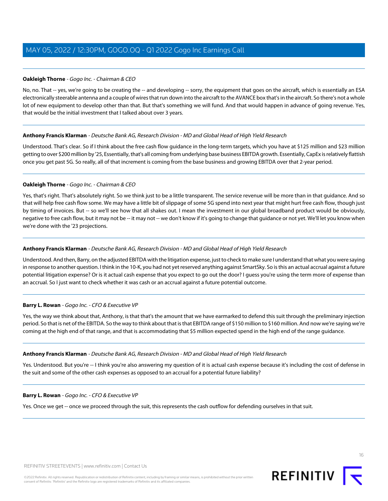# **Oakleigh Thorne** - Gogo Inc. - Chairman & CEO

No, no. That -- yes, we're going to be creating the -- and developing -- sorry, the equipment that goes on the aircraft, which is essentially an ESA electronically steerable antenna and a couple of wires that run down into the aircraft to the AVANCE box that's in the aircraft. So there's not a whole lot of new equipment to develop other than that. But that's something we will fund. And that would happen in advance of going revenue. Yes, that would be the initial investment that I talked about over 3 years.

# **Anthony Francis Klarman** - Deutsche Bank AG, Research Division - MD and Global Head of High Yield Research

Understood. That's clear. So if I think about the free cash flow guidance in the long-term targets, which you have at \$125 million and \$23 million getting to over \$200 million by '25, Essentially, that's all coming from underlying base business EBITDA growth. Essentially, CapEx is relatively flattish once you get past 5G. So really, all of that increment is coming from the base business and growing EBITDA over that 2-year period.

# **Oakleigh Thorne** - Gogo Inc. - Chairman & CEO

Yes, that's right. That's absolutely right. So we think just to be a little transparent. The service revenue will be more than in that guidance. And so that will help free cash flow some. We may have a little bit of slippage of some 5G spend into next year that might hurt free cash flow, though just by timing of invoices. But -- so we'll see how that all shakes out. I mean the investment in our global broadband product would be obviously, negative to free cash flow, but it may not be -- it may not -- we don't know if it's going to change that guidance or not yet. We'll let you know when we're done with the '23 projections.

# **Anthony Francis Klarman** - Deutsche Bank AG, Research Division - MD and Global Head of High Yield Research

Understood. And then, Barry, on the adjusted EBITDA with the litigation expense, just to check to make sure I understand that what you were saying in response to another question. I think in the 10-K, you had not yet reserved anything against SmartSky. So is this an actual accrual against a future potential litigation expense? Or is it actual cash expense that you expect to go out the door? I guess you're using the term more of expense than an accrual. So I just want to check whether it was cash or an accrual against a future potential outcome.

# **Barry L. Rowan** - Gogo Inc. - CFO & Executive VP

Yes, the way we think about that, Anthony, is that that's the amount that we have earmarked to defend this suit through the preliminary injection period. So that is net of the EBITDA. So the way to think about that is that EBITDA range of \$150 million to \$160 million. And now we're saying we're coming at the high end of that range, and that is accommodating that \$5 million expected spend in the high end of the range guidance.

# **Anthony Francis Klarman** - Deutsche Bank AG, Research Division - MD and Global Head of High Yield Research

Yes. Understood. But you're -- I think you're also answering my question of it is actual cash expense because it's including the cost of defense in the suit and some of the other cash expenses as opposed to an accrual for a potential future liability?

# **Barry L. Rowan** - Gogo Inc. - CFO & Executive VP

Yes. Once we get -- once we proceed through the suit, this represents the cash outflow for defending ourselves in that suit.